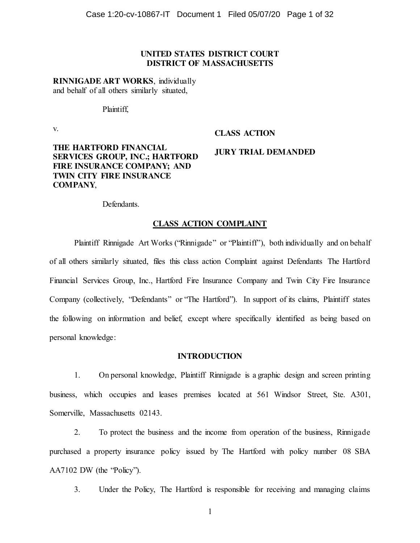# **UNITED STATES DISTRICT COURT DISTRICT OF MASSACHUSETTS**

**RINNIGADE ART WORKS**, individually and behalf of all others similarly situated,

Plaintiff,

v.

# **CLASS ACTION**

# **THE HARTFORD FINANCIAL SERVICES GROUP, INC.; HARTFORD FIRE INSURANCE COMPANY; AND TWIN CITY FIRE INSURANCE COMPANY**,

# **JURY TRIAL DEMANDED**

Defendants.

### **CLASS ACTION COMPLAINT**

Plaintiff Rinnigade Art Works ("Rinnigade" or "Plaintiff"), both individually and on behalf of all others similarly situated, files this class action Complaint against Defendants The Hartford Financial Services Group, Inc., Hartford Fire Insurance Company and Twin City Fire Insurance Company (collectively, "Defendants" or "The Hartford"). In support of its claims, Plaintiff states the following on information and belief, except where specifically identified as being based on personal knowledge:

#### **INTRODUCTION**

1. On personal knowledge, Plaintiff Rinnigade is a graphic design and screen printing business, which occupies and leases premises located at 561 Windsor Street, Ste. A301, Somerville, Massachusetts 02143.

2. To protect the business and the income from operation of the business, Rinnigade purchased a property insurance policy issued by The Hartford with policy number 08 SBA AA7102 DW (the "Policy").

3. Under the Policy, The Hartford is responsible for receiving and managing claims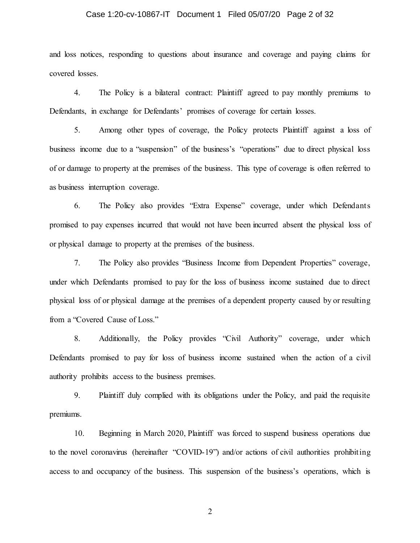#### Case 1:20-cv-10867-IT Document 1 Filed 05/07/20 Page 2 of 32

and loss notices, responding to questions about insurance and coverage and paying claims for covered losses.

4. The Policy is a bilateral contract: Plaintiff agreed to pay monthly premiums to Defendants, in exchange for Defendants' promises of coverage for certain losses.

5. Among other types of coverage, the Policy protects Plaintiff against a loss of business income due to a "suspension" of the business's "operations" due to direct physical loss of or damage to property at the premises of the business. This type of coverage is often referred to as business interruption coverage.

6. The Policy also provides "Extra Expense" coverage, under which Defendants promised to pay expenses incurred that would not have been incurred absent the physical loss of or physical damage to property at the premises of the business.

7. The Policy also provides "Business Income from Dependent Properties" coverage, under which Defendants promised to pay for the loss of business income sustained due to direct physical loss of or physical damage at the premises of a dependent property caused by or resulting from a "Covered Cause of Loss."

8. Additionally, the Policy provides "Civil Authority" coverage, under which Defendants promised to pay for loss of business income sustained when the action of a civil authority prohibits access to the business premises.

9. Plaintiff duly complied with its obligations under the Policy, and paid the requisite premiums.

10. Beginning in March 2020, Plaintiff was forced to suspend business operations due to the novel coronavirus (hereinafter "COVID-19") and/or actions of civil authorities prohibiting access to and occupancy of the business. This suspension of the business's operations, which is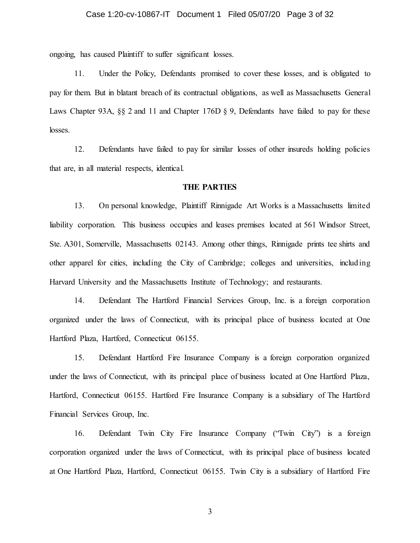#### Case 1:20-cv-10867-IT Document 1 Filed 05/07/20 Page 3 of 32

ongoing, has caused Plaintiff to suffer significant losses.

11. Under the Policy, Defendants promised to cover these losses, and is obligated to pay for them. But in blatant breach of its contractual obligations, as well as Massachusetts General Laws Chapter 93A, §§ 2 and 11 and Chapter 176D § 9, Defendants have failed to pay for these losses.

12. Defendants have failed to pay for similar losses of other insureds holding policies that are, in all material respects, identical.

#### **THE PARTIES**

13. On personal knowledge, Plaintiff Rinnigade Art Works is a Massachusetts limited liability corporation. This business occupies and leases premises located at 561 Windsor Street, Ste. A301, Somerville, Massachusetts 02143. Among other things, Rinnigade prints tee shirts and other apparel for cities, including the City of Cambridge; colleges and universities, including Harvard University and the Massachusetts Institute of Technology; and restaurants.

14. Defendant The Hartford Financial Services Group, Inc. is a foreign corporation organized under the laws of Connecticut, with its principal place of business located at One Hartford Plaza, Hartford, Connecticut 06155.

15. Defendant Hartford Fire Insurance Company is a foreign corporation organized under the laws of Connecticut, with its principal place of business located at One Hartford Plaza, Hartford, Connecticut 06155. Hartford Fire Insurance Company is a subsidiary of The Hartford Financial Services Group, Inc.

16. Defendant Twin City Fire Insurance Company ("Twin City") is a foreign corporation organized under the laws of Connecticut, with its principal place of business located at One Hartford Plaza, Hartford, Connecticut 06155. Twin City is a subsidiary of Hartford Fire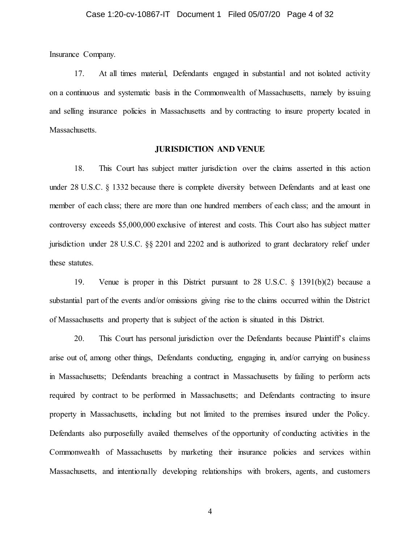Insurance Company.

17. At all times material, Defendants engaged in substantial and not isolated activity on a continuous and systematic basis in the Commonwealth of Massachusetts, namely by issuing and selling insurance policies in Massachusetts and by contracting to insure property located in Massachusetts.

#### **JURISDICTION AND VENUE**

18. This Court has subject matter jurisdiction over the claims asserted in this action under 28 U.S.C. § 1332 because there is complete diversity between Defendants and at least one member of each class; there are more than one hundred members of each class; and the amount in controversy exceeds \$5,000,000 exclusive of interest and costs. This Court also has subject matter jurisdiction under 28 U.S.C. §§ 2201 and 2202 and is authorized to grant declaratory relief under these statutes.

19. Venue is proper in this District pursuant to 28 U.S.C. § 1391(b)(2) because a substantial part of the events and/or omissions giving rise to the claims occurred within the District of Massachusetts and property that is subject of the action is situated in this District.

20. This Court has personal jurisdiction over the Defendants because Plaintiff's claims arise out of, among other things, Defendants conducting, engaging in, and/or carrying on business in Massachusetts; Defendants breaching a contract in Massachusetts by failing to perform acts required by contract to be performed in Massachusetts; and Defendants contracting to insure property in Massachusetts, including but not limited to the premises insured under the Policy. Defendants also purposefully availed themselves of the opportunity of conducting activities in the Commonwealth of Massachusetts by marketing their insurance policies and services within Massachusetts, and intentionally developing relationships with brokers, agents, and customers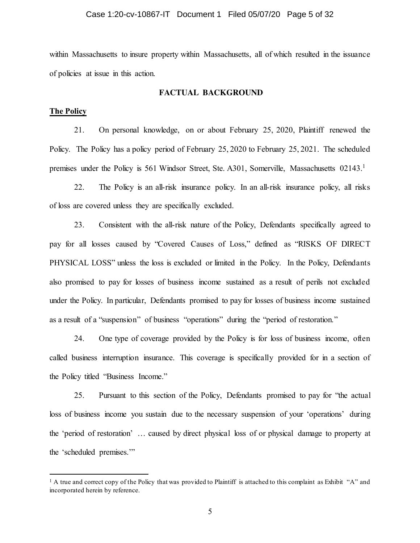# Case 1:20-cv-10867-IT Document 1 Filed 05/07/20 Page 5 of 32

within Massachusetts to insure property within Massachusetts, all of which resulted in the issuance of policies at issue in this action.

#### **FACTUAL BACKGROUND**

#### **The Policy**

21. On personal knowledge, on or about February 25, 2020, Plaintiff renewed the Policy. The Policy has a policy period of February 25, 2020 to February 25, 2021. The scheduled premises under the Policy is 561 Windsor Street, Ste. A301, Somerville, Massachusetts 02143.<sup>1</sup>

22. The Policy is an all-risk insurance policy. In an all-risk insurance policy, all risks of loss are covered unless they are specifically excluded.

23. Consistent with the all-risk nature of the Policy, Defendants specifically agreed to pay for all losses caused by "Covered Causes of Loss," defined as "RISKS OF DIRECT PHYSICAL LOSS" unless the loss is excluded or limited in the Policy. In the Policy, Defendants also promised to pay for losses of business income sustained as a result of perils not excluded under the Policy. In particular, Defendants promised to pay for losses of business income sustained as a result of a "suspension" of business "operations" during the "period of restoration."

24. One type of coverage provided by the Policy is for loss of business income, often called business interruption insurance. This coverage is specifically provided for in a section of the Policy titled "Business Income."

25. Pursuant to this section of the Policy, Defendants promised to pay for "the actual loss of business income you sustain due to the necessary suspension of your 'operations' during the 'period of restoration' … caused by direct physical loss of or physical damage to property at the 'scheduled premises.'"

 $<sup>1</sup>$  A true and correct copy of the Policy that was provided to Plaintiff is attached to this complaint as Exhibit "A" and</sup> incorporated herein by reference.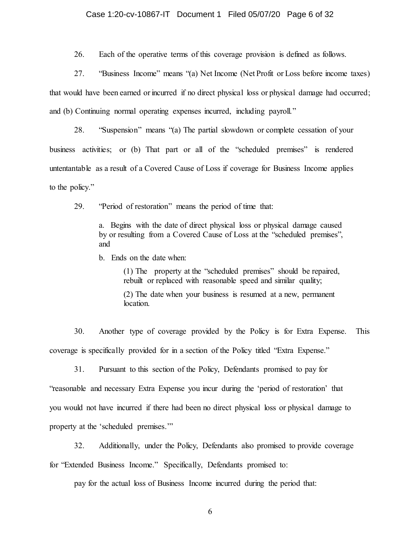#### Case 1:20-cv-10867-IT Document 1 Filed 05/07/20 Page 6 of 32

26. Each of the operative terms of this coverage provision is defined as follows.

27. "Business Income" means "(a) Net Income (Net Profit or Loss before income taxes) that would have been earned or incurred if no direct physical loss or physical damage had occurred; and (b) Continuing normal operating expenses incurred, including payroll."

28. "Suspension" means "(a) The partial slowdown or complete cessation of your business activities; or (b) That part or all of the "scheduled premises" is rendered untentantable as a result of a Covered Cause of Loss if coverage for Business Income applies to the policy."

29. "Period of restoration" means the period of time that:

a. Begins with the date of direct physical loss or physical damage caused by or resulting from a Covered Cause of Loss at the "scheduled premises", and

b. Ends on the date when:

(1) The property at the "scheduled premises" should be repaired, rebuilt or replaced with reasonable speed and similar quality;

(2) The date when your business is resumed at a new, permanent location.

30. Another type of coverage provided by the Policy is for Extra Expense. This coverage is specifically provided for in a section of the Policy titled "Extra Expense."

31. Pursuant to this section of the Policy, Defendants promised to pay for "reasonable and necessary Extra Expense you incur during the 'period of restoration' that you would not have incurred if there had been no direct physical loss or physical damage to property at the 'scheduled premises.'"

32. Additionally, under the Policy, Defendants also promised to provide coverage for "Extended Business Income." Specifically, Defendants promised to:

pay for the actual loss of Business Income incurred during the period that: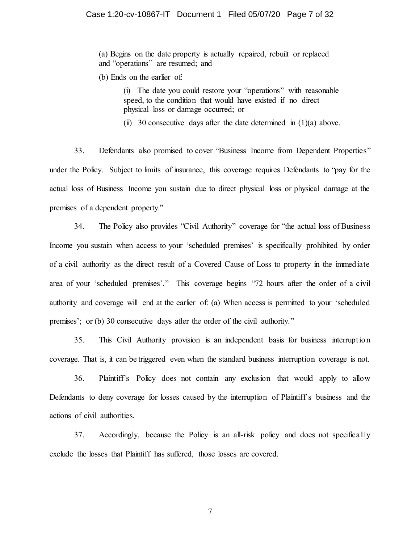(a) Begins on the date property is actually repaired, rebuilt or replaced and "operations" are resumed; and

(b) Ends on the earlier of:

(i) The date you could restore your "operations" with reasonable speed, to the condition that would have existed if no direct physical loss or damage occurred; or

(ii) 30 consecutive days after the date determined in  $(1)(a)$  above.

33. Defendants also promised to cover "Business Income from Dependent Properties" under the Policy. Subject to limits of insurance, this coverage requires Defendants to "pay for the actual loss of Business Income you sustain due to direct physical loss or physical damage at the premises of a dependent property."

34. The Policy also provides "Civil Authority" coverage for "the actual loss of Business Income you sustain when access to your 'scheduled premises' is specifically prohibited by order of a civil authority as the direct result of a Covered Cause of Loss to property in the immediate area of your 'scheduled premises'." This coverage begins "72 hours after the order of a civil authority and coverage will end at the earlier of: (a) When access is permitted to your 'scheduled premises'; or (b) 30 consecutive days after the order of the civil authority."

35. This Civil Authority provision is an independent basis for business interruption coverage. That is, it can be triggered even when the standard business interruption coverage is not.

36. Plaintiff's Policy does not contain any exclusion that would apply to allow Defendants to deny coverage for losses caused by the interruption of Plaintiff's business and the actions of civil authorities.

37. Accordingly, because the Policy is an all-risk policy and does not specifically exclude the losses that Plaintiff has suffered, those losses are covered.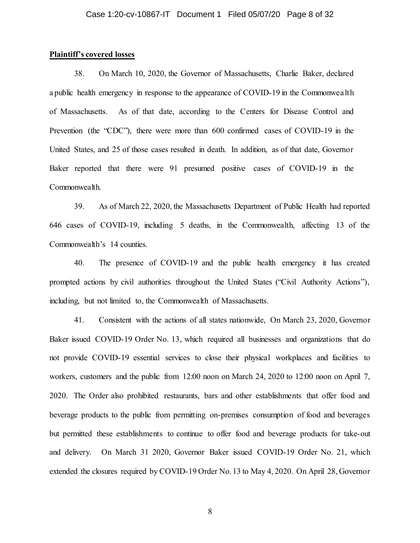## **Plaintiff's covered losses**

38. On March 10, 2020, the Governor of Massachusetts, Charlie Baker, declared a public health emergency in response to the appearance of COVID-19 in the Commonwealth of Massachusetts. As of that date, according to the Centers for Disease Control and Prevention (the "CDC"), there were more than 600 confirmed cases of COVID-19 in the United States, and 25 of those cases resulted in death. In addition, as of that date, Governor Baker reported that there were 91 presumed positive cases of COVID-19 in the Commonwealth.

39. As of March 22, 2020, the Massachusetts Department of Public Health had reported 646 cases of COVID-19, including 5 deaths, in the Commonwealth, affecting 13 of the Commonwealth's 14 counties.

40. The presence of COVID-19 and the public health emergency it has created prompted actions by civil authorities throughout the United States ("Civil Authority Actions"), including, but not limited to, the Commonwealth of Massachusetts.

41. Consistent with the actions of all states nationwide, On March 23, 2020, Governor Baker issued COVID-19 Order No. 13, which required all businesses and organizations that do not provide COVID-19 essential services to close their physical workplaces and facilities to workers, customers and the public from 12:00 noon on March 24, 2020 to 12:00 noon on April 7, 2020. The Order also prohibited restaurants, bars and other establishments that offer food and beverage products to the public from permitting on-premises consumption of food and beverages but permitted these establishments to continue to offer food and beverage products for take-out and delivery. On March 31 2020, Governor Baker issued COVID-19 Order No. 21, which extended the closures required by COVID-19 Order No. 13 to May 4, 2020. On April 28, Governor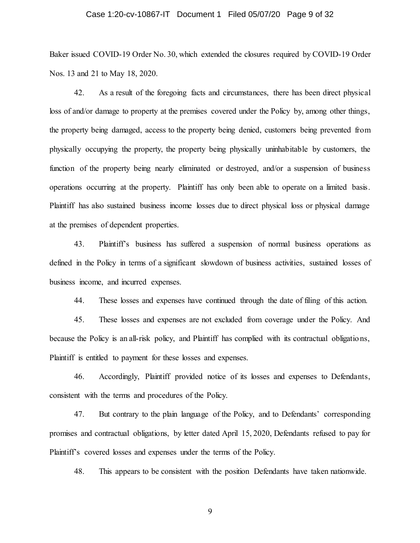#### Case 1:20-cv-10867-IT Document 1 Filed 05/07/20 Page 9 of 32

Baker issued COVID-19 Order No. 30, which extended the closures required by COVID-19 Order Nos. 13 and 21 to May 18, 2020.

42. As a result of the foregoing facts and circumstances, there has been direct physical loss of and/or damage to property at the premises covered under the Policy by, among other things, the property being damaged, access to the property being denied, customers being prevented from physically occupying the property, the property being physically uninhabitable by customers, the function of the property being nearly eliminated or destroyed, and/or a suspension of business operations occurring at the property. Plaintiff has only been able to operate on a limited basis. Plaintiff has also sustained business income losses due to direct physical loss or physical damage at the premises of dependent properties.

43. Plaintiff's business has suffered a suspension of normal business operations as defined in the Policy in terms of a significant slowdown of business activities, sustained losses of business income, and incurred expenses.

44. These losses and expenses have continued through the date of filing of this action.

45. These losses and expenses are not excluded from coverage under the Policy. And because the Policy is an all-risk policy, and Plaintiff has complied with its contractual obligations, Plaintiff is entitled to payment for these losses and expenses.

46. Accordingly, Plaintiff provided notice of its losses and expenses to Defendants, consistent with the terms and procedures of the Policy.

47. But contrary to the plain language of the Policy, and to Defendants' corresponding promises and contractual obligations, by letter dated April 15, 2020, Defendants refused to pay for Plaintiff's covered losses and expenses under the terms of the Policy.

48. This appears to be consistent with the position Defendants have taken nationwide.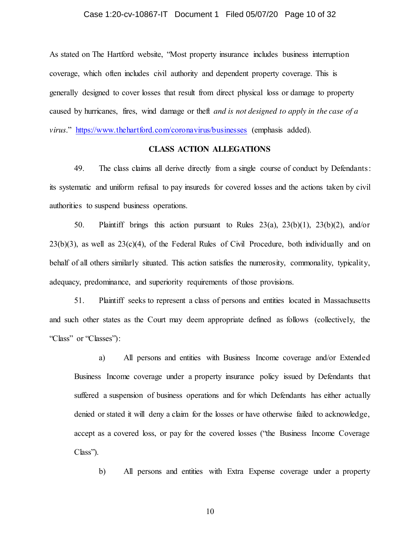#### Case 1:20-cv-10867-IT Document 1 Filed 05/07/20 Page 10 of 32

As stated on The Hartford website, "Most property insurance includes business interruption coverage, which often includes civil authority and dependent property coverage. This is generally designed to cover losses that result from direct physical loss or damage to property caused by hurricanes, fires, wind damage or theft *and is not designed to apply in the case of a virus*." <https://www.thehartford.com/coronavirus/businesses> (emphasis added).

# **CLASS ACTION ALLEGATIONS**

49. The class claims all derive directly from a single course of conduct by Defendants: its systematic and uniform refusal to pay insureds for covered losses and the actions taken by civil authorities to suspend business operations.

50. Plaintiff brings this action pursuant to Rules  $23(a)$ ,  $23(b)(1)$ ,  $23(b)(2)$ , and/or  $23(b)(3)$ , as well as  $23(c)(4)$ , of the Federal Rules of Civil Procedure, both individually and on behalf of all others similarly situated. This action satisfies the numerosity, commonality, typicality, adequacy, predominance, and superiority requirements of those provisions.

51. Plaintiff seeks to represent a class of persons and entities located in Massachusetts and such other states as the Court may deem appropriate defined as follows (collectively, the "Class" or "Classes"):

a) All persons and entities with Business Income coverage and/or Extended Business Income coverage under a property insurance policy issued by Defendants that suffered a suspension of business operations and for which Defendants has either actually denied or stated it will deny a claim for the losses or have otherwise failed to acknowledge, accept as a covered loss, or pay for the covered losses ("the Business Income Coverage Class").

b) All persons and entities with Extra Expense coverage under a property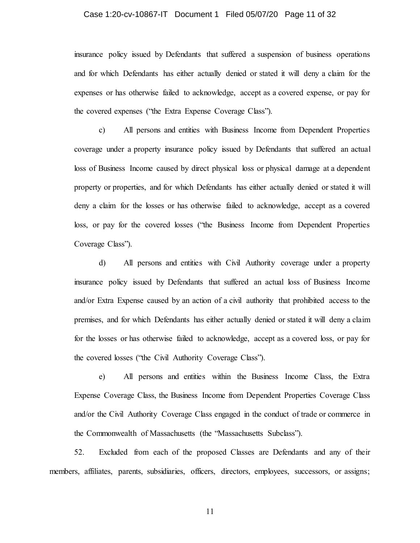#### Case 1:20-cv-10867-IT Document 1 Filed 05/07/20 Page 11 of 32

insurance policy issued by Defendants that suffered a suspension of business operations and for which Defendants has either actually denied or stated it will deny a claim for the expenses or has otherwise failed to acknowledge, accept as a covered expense, or pay for the covered expenses ("the Extra Expense Coverage Class").

c) All persons and entities with Business Income from Dependent Properties coverage under a property insurance policy issued by Defendants that suffered an actual loss of Business Income caused by direct physical loss or physical damage at a dependent property or properties, and for which Defendants has either actually denied or stated it will deny a claim for the losses or has otherwise failed to acknowledge, accept as a covered loss, or pay for the covered losses ("the Business Income from Dependent Properties Coverage Class").

d) All persons and entities with Civil Authority coverage under a property insurance policy issued by Defendants that suffered an actual loss of Business Income and/or Extra Expense caused by an action of a civil authority that prohibited access to the premises, and for which Defendants has either actually denied or stated it will deny a claim for the losses or has otherwise failed to acknowledge, accept as a covered loss, or pay for the covered losses ("the Civil Authority Coverage Class").

e) All persons and entities within the Business Income Class, the Extra Expense Coverage Class, the Business Income from Dependent Properties Coverage Class and/or the Civil Authority Coverage Class engaged in the conduct of trade or commerce in the Commonwealth of Massachusetts (the "Massachusetts Subclass").

52. Excluded from each of the proposed Classes are Defendants and any of their members, affiliates, parents, subsidiaries, officers, directors, employees, successors, or assigns;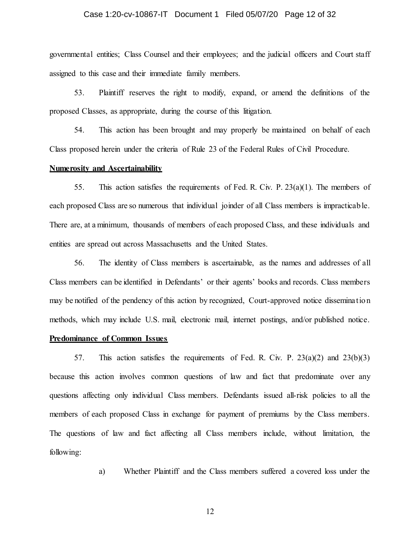# Case 1:20-cv-10867-IT Document 1 Filed 05/07/20 Page 12 of 32

governmental entities; Class Counsel and their employees; and the judicial officers and Court staff assigned to this case and their immediate family members.

53. Plaintiff reserves the right to modify, expand, or amend the definitions of the proposed Classes, as appropriate, during the course of this litigation.

54. This action has been brought and may properly be maintained on behalf of each Class proposed herein under the criteria of Rule 23 of the Federal Rules of Civil Procedure.

#### **Numerosity and Ascertainability**

55. This action satisfies the requirements of Fed. R. Civ. P.  $23(a)(1)$ . The members of each proposed Class are so numerous that individual joinder of all Class members is impracticable. There are, at a minimum, thousands of members of each proposed Class, and these individuals and entities are spread out across Massachusetts and the United States.

56. The identity of Class members is ascertainable, as the names and addresses of all Class members can be identified in Defendants' or their agents' books and records. Class members may be notified of the pendency of this action by recognized, Court-approved notice dissemination methods, which may include U.S. mail, electronic mail, internet postings, and/or published notice.

# **Predominance of Common Issues**

57. This action satisfies the requirements of Fed. R. Civ. P.  $23(a)(2)$  and  $23(b)(3)$ because this action involves common questions of law and fact that predominate over any questions affecting only individual Class members. Defendants issued all-risk policies to all the members of each proposed Class in exchange for payment of premiums by the Class members. The questions of law and fact affecting all Class members include, without limitation, the following:

a) Whether Plaintiff and the Class members suffered a covered loss under the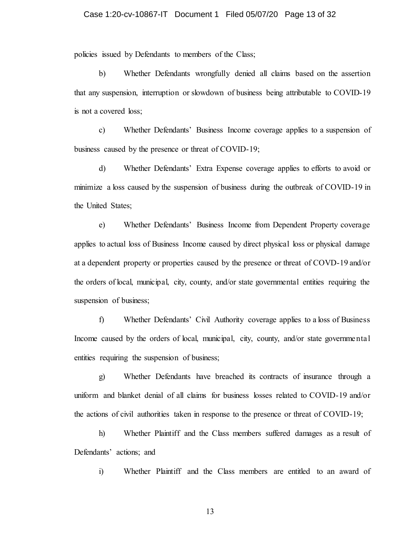policies issued by Defendants to members of the Class;

b) Whether Defendants wrongfully denied all claims based on the assertion that any suspension, interruption or slowdown of business being attributable to COVID-19 is not a covered loss;

c) Whether Defendants' Business Income coverage applies to a suspension of business caused by the presence or threat of COVID-19;

d) Whether Defendants' Extra Expense coverage applies to efforts to avoid or minimize a loss caused by the suspension of business during the outbreak of COVID-19 in the United States;

e) Whether Defendants' Business Income from Dependent Property coverage applies to actual loss of Business Income caused by direct physical loss or physical damage at a dependent property or properties caused by the presence or threat of COVD-19 and/or the orders of local, municipal, city, county, and/or state governmental entities requiring the suspension of business;

f) Whether Defendants' Civil Authority coverage applies to a loss of Business Income caused by the orders of local, municipal, city, county, and/or state governmental entities requiring the suspension of business;

g) Whether Defendants have breached its contracts of insurance through a uniform and blanket denial of all claims for business losses related to COVID-19 and/or the actions of civil authorities taken in response to the presence or threat of COVID-19;

h) Whether Plaintiff and the Class members suffered damages as a result of Defendants' actions; and

i) Whether Plaintiff and the Class members are entitled to an award of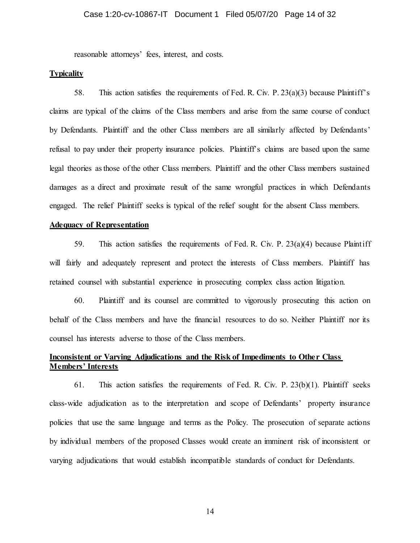reasonable attorneys' fees, interest, and costs.

## **Typicality**

58. This action satisfies the requirements of Fed. R. Civ. P. 23(a)(3) because Plaintiff's claims are typical of the claims of the Class members and arise from the same course of conduct by Defendants. Plaintiff and the other Class members are all similarly affected by Defendants' refusal to pay under their property insurance policies. Plaintiff's claims are based upon the same legal theories as those of the other Class members. Plaintiff and the other Class members sustained damages as a direct and proximate result of the same wrongful practices in which Defendants engaged. The relief Plaintiff seeks is typical of the relief sought for the absent Class members.

# **Adequacy of Representation**

59. This action satisfies the requirements of Fed. R. Civ. P. 23(a)(4) because Plaintiff will fairly and adequately represent and protect the interests of Class members. Plaintiff has retained counsel with substantial experience in prosecuting complex class action litigation.

60. Plaintiff and its counsel are committed to vigorously prosecuting this action on behalf of the Class members and have the financial resources to do so. Neither Plaintiff nor its counsel has interests adverse to those of the Class members.

# **<u>Inconsistent or Varying Adjudications and the Risk of Impediments to Other Class</u> Members' Interests**

61. This action satisfies the requirements of Fed. R. Civ. P. 23(b)(1). Plaintiff seeks class-wide adjudication as to the interpretation and scope of Defendants' property insurance policies that use the same language and terms as the Policy. The prosecution of separate actions by individual members of the proposed Classes would create an imminent risk of inconsistent or varying adjudications that would establish incompatible standards of conduct for Defendants.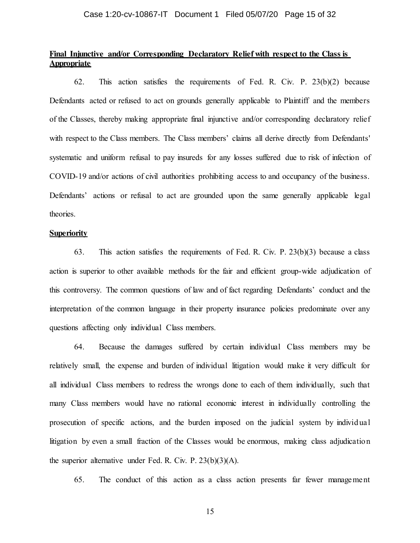# **Final Injunctive and/or Corresponding Declaratory Relief with respect to the Class is Appropriate**

62. This action satisfies the requirements of Fed. R. Civ. P. 23(b)(2) because Defendants acted or refused to act on grounds generally applicable to Plaintiff and the members of the Classes, thereby making appropriate final injunctive and/or corresponding declaratory relief with respect to the Class members. The Class members' claims all derive directly from Defendants' systematic and uniform refusal to pay insureds for any losses suffered due to risk of infection of COVID-19 and/or actions of civil authorities prohibiting access to and occupancy of the business. Defendants' actions or refusal to act are grounded upon the same generally applicable legal theories.

#### **Superiority**

63. This action satisfies the requirements of Fed. R. Civ. P. 23(b)(3) because a class action is superior to other available methods for the fair and efficient group-wide adjudication of this controversy. The common questions of law and of fact regarding Defendants' conduct and the interpretation of the common language in their property insurance policies predominate over any questions affecting only individual Class members.

64. Because the damages suffered by certain individual Class members may be relatively small, the expense and burden of individual litigation would make it very difficult for all individual Class members to redress the wrongs done to each of them individually, such that many Class members would have no rational economic interest in individually controlling the prosecution of specific actions, and the burden imposed on the judicial system by individual litigation by even a small fraction of the Classes would be enormous, making class adjudication the superior alternative under Fed. R. Civ. P. 23(b)(3)(A).

65. The conduct of this action as a class action presents far fewer management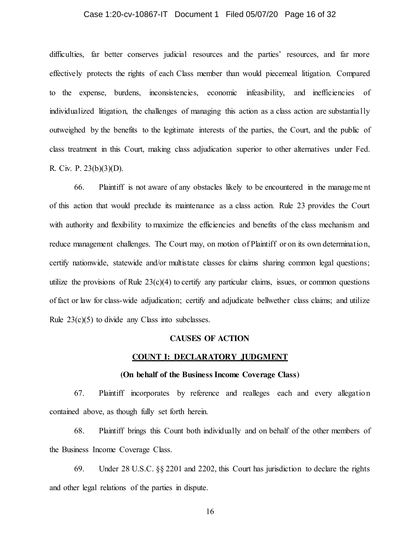#### Case 1:20-cv-10867-IT Document 1 Filed 05/07/20 Page 16 of 32

difficulties, far better conserves judicial resources and the parties' resources, and far more effectively protects the rights of each Class member than would piecemeal litigation. Compared to the expense, burdens, inconsistencies, economic infeasibility, and inefficiencies of individualized litigation, the challenges of managing this action as a class action are substantially outweighed by the benefits to the legitimate interests of the parties, the Court, and the public of class treatment in this Court, making class adjudication superior to other alternatives under Fed. R. Civ. P. 23(b)(3)(D).

66. Plaintiff is not aware of any obstacles likely to be encountered in the manageme nt of this action that would preclude its maintenance as a class action. Rule 23 provides the Court with authority and flexibility to maximize the efficiencies and benefits of the class mechanism and reduce management challenges. The Court may, on motion of Plaintiff or on its own determination, certify nationwide, statewide and/or multistate classes for claims sharing common legal questions; utilize the provisions of Rule  $23(c)(4)$  to certify any particular claims, issues, or common questions of fact or law for class-wide adjudication; certify and adjudicate bellwether class claims; and utilize Rule  $23(c)(5)$  to divide any Class into subclasses.

#### **CAUSES OF ACTION**

#### **COUNT I: DECLARATORY JUDGMENT**

#### **(On behalf of the Business Income Coverage Class)**

67. Plaintiff incorporates by reference and realleges each and every allegation contained above, as though fully set forth herein.

68. Plaintiff brings this Count both individually and on behalf of the other members of the Business Income Coverage Class.

69. Under 28 U.S.C. §§ 2201 and 2202, this Court has jurisdiction to declare the rights and other legal relations of the parties in dispute.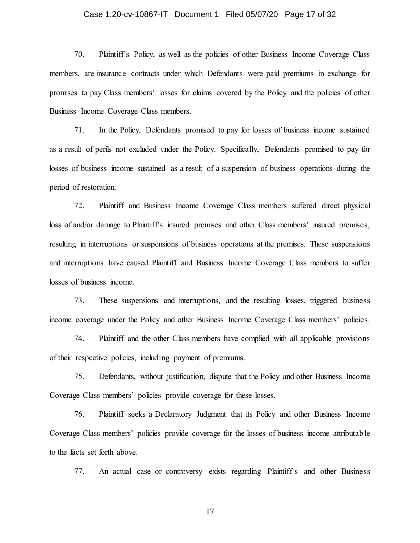#### Case 1:20-cv-10867-IT Document 1 Filed 05/07/20 Page 17 of 32

70. Plaintiff's Policy, as well as the policies of other Business Income Coverage Class members, are insurance contracts under which Defendants were paid premiums in exchange for promises to pay Class members' losses for claims covered by the Policy and the policies of other Business Income Coverage Class members.

71. In the Policy, Defendants promised to pay for losses of business income sustained as a result of perils not excluded under the Policy. Specifically, Defendants promised to pay for losses of business income sustained as a result of a suspension of business operations during the period of restoration.

72. Plaintiff and Business Income Coverage Class members suffered direct physical loss of and/or damage to Plaintiff's insured premises and other Class members' insured premises, resulting in interruptions or suspensions of business operations at the premises. These suspensions and interruptions have caused Plaintiff and Business Income Coverage Class members to suffer losses of business income.

73. These suspensions and interruptions, and the resulting losses, triggered business income coverage under the Policy and other Business Income Coverage Class members' policies.

74. Plaintiff and the other Class members have complied with all applicable provisions of their respective policies, including payment of premiums.

75. Defendants, without justification, dispute that the Policy and other Business Income Coverage Class members' policies provide coverage for these losses.

76. Plaintiff seeks a Declaratory Judgment that its Policy and other Business Income Coverage Class members' policies provide coverage for the losses of business income attributable to the facts set forth above.

77. An actual case or controversy exists regarding Plaintiff's and other Business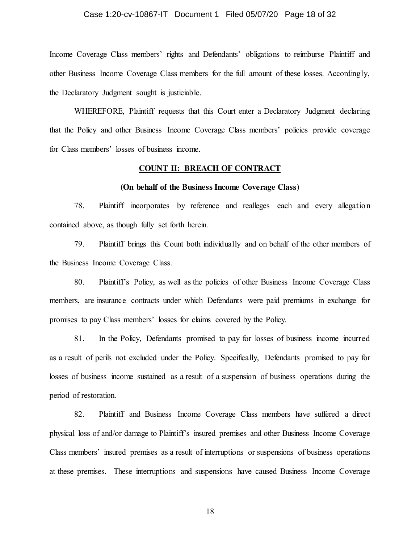#### Case 1:20-cv-10867-IT Document 1 Filed 05/07/20 Page 18 of 32

Income Coverage Class members' rights and Defendants' obligations to reimburse Plaintiff and other Business Income Coverage Class members for the full amount of these losses. Accordingly, the Declaratory Judgment sought is justiciable.

WHEREFORE, Plaintiff requests that this Court enter a Declaratory Judgment declaring that the Policy and other Business Income Coverage Class members' policies provide coverage for Class members' losses of business income.

#### **COUNT II: BREACH OF CONTRACT**

#### **(On behalf of the Business Income Coverage Class)**

78. Plaintiff incorporates by reference and realleges each and every allegation contained above, as though fully set forth herein.

79. Plaintiff brings this Count both individually and on behalf of the other members of the Business Income Coverage Class.

80. Plaintiff's Policy, as well as the policies of other Business Income Coverage Class members, are insurance contracts under which Defendants were paid premiums in exchange for promises to pay Class members' losses for claims covered by the Policy.

81. In the Policy, Defendants promised to pay for losses of business income incurred as a result of perils not excluded under the Policy. Specifically, Defendants promised to pay for losses of business income sustained as a result of a suspension of business operations during the period of restoration.

82. Plaintiff and Business Income Coverage Class members have suffered a direct physical loss of and/or damage to Plaintiff's insured premises and other Business Income Coverage Class members' insured premises as a result of interruptions or suspensions of business operations at these premises. These interruptions and suspensions have caused Business Income Coverage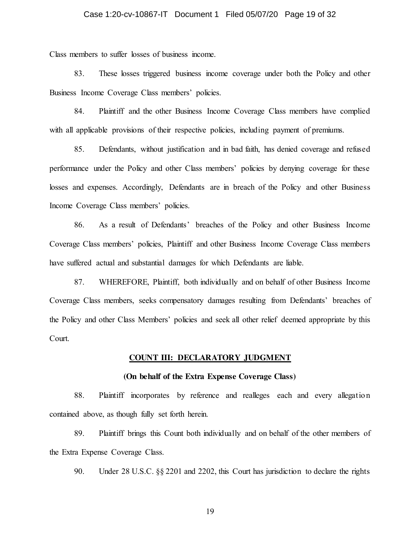Class members to suffer losses of business income.

83. These losses triggered business income coverage under both the Policy and other Business Income Coverage Class members' policies.

84. Plaintiff and the other Business Income Coverage Class members have complied with all applicable provisions of their respective policies, including payment of premiums.

85. Defendants, without justification and in bad faith, has denied coverage and refused performance under the Policy and other Class members' policies by denying coverage for these losses and expenses. Accordingly, Defendants are in breach of the Policy and other Business Income Coverage Class members' policies.

86. As a result of Defendants' breaches of the Policy and other Business Income Coverage Class members' policies, Plaintiff and other Business Income Coverage Class members have suffered actual and substantial damages for which Defendants are liable.

87. WHEREFORE, Plaintiff, both individually and on behalf of other Business Income Coverage Class members, seeks compensatory damages resulting from Defendants' breaches of the Policy and other Class Members' policies and seek all other relief deemed appropriate by this Court.

#### **COUNT III: DECLARATORY JUDGMENT**

#### **(On behalf of the Extra Expense Coverage Class)**

88. Plaintiff incorporates by reference and realleges each and every allegation contained above, as though fully set forth herein.

89. Plaintiff brings this Count both individually and on behalf of the other members of the Extra Expense Coverage Class.

90. Under 28 U.S.C. §§ 2201 and 2202, this Court has jurisdiction to declare the rights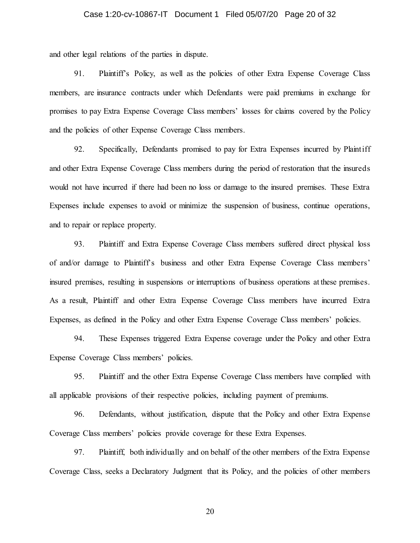#### Case 1:20-cv-10867-IT Document 1 Filed 05/07/20 Page 20 of 32

and other legal relations of the parties in dispute.

91. Plaintiff's Policy, as well as the policies of other Extra Expense Coverage Class members, are insurance contracts under which Defendants were paid premiums in exchange for promises to pay Extra Expense Coverage Class members' losses for claims covered by the Policy and the policies of other Expense Coverage Class members.

92. Specifically, Defendants promised to pay for Extra Expenses incurred by Plaintiff and other Extra Expense Coverage Class members during the period of restoration that the insureds would not have incurred if there had been no loss or damage to the insured premises. These Extra Expenses include expenses to avoid or minimize the suspension of business, continue operations, and to repair or replace property.

93. Plaintiff and Extra Expense Coverage Class members suffered direct physical loss of and/or damage to Plaintiff's business and other Extra Expense Coverage Class members' insured premises, resulting in suspensions or interruptions of business operations at these premises. As a result, Plaintiff and other Extra Expense Coverage Class members have incurred Extra Expenses, as defined in the Policy and other Extra Expense Coverage Class members' policies.

94. These Expenses triggered Extra Expense coverage under the Policy and other Extra Expense Coverage Class members' policies.

95. Plaintiff and the other Extra Expense Coverage Class members have complied with all applicable provisions of their respective policies, including payment of premiums.

96. Defendants, without justification, dispute that the Policy and other Extra Expense Coverage Class members' policies provide coverage for these Extra Expenses.

97. Plaintiff, both individually and on behalf of the other members of the Extra Expense Coverage Class, seeks a Declaratory Judgment that its Policy, and the policies of other members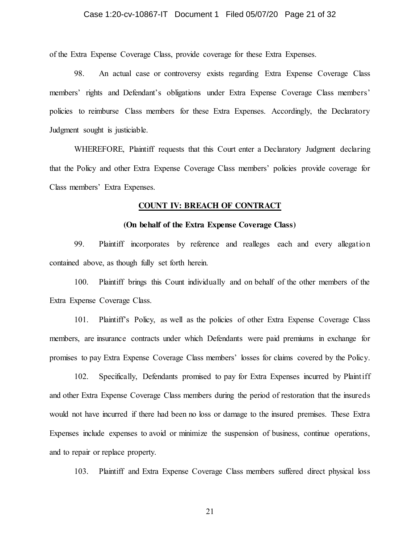#### Case 1:20-cv-10867-IT Document 1 Filed 05/07/20 Page 21 of 32

of the Extra Expense Coverage Class, provide coverage for these Extra Expenses.

98. An actual case or controversy exists regarding Extra Expense Coverage Class members' rights and Defendant's obligations under Extra Expense Coverage Class members' policies to reimburse Class members for these Extra Expenses. Accordingly, the Declaratory Judgment sought is justiciable.

WHEREFORE, Plaintiff requests that this Court enter a Declaratory Judgment declaring that the Policy and other Extra Expense Coverage Class members' policies provide coverage for Class members' Extra Expenses.

#### **COUNT IV: BREACH OF CONTRACT**

# **(On behalf of the Extra Expense Coverage Class)**

99. Plaintiff incorporates by reference and realleges each and every allegation contained above, as though fully set forth herein.

100. Plaintiff brings this Count individually and on behalf of the other members of the Extra Expense Coverage Class.

101. Plaintiff's Policy, as well as the policies of other Extra Expense Coverage Class members, are insurance contracts under which Defendants were paid premiums in exchange for promises to pay Extra Expense Coverage Class members' losses for claims covered by the Policy.

102. Specifically, Defendants promised to pay for Extra Expenses incurred by Plaintiff and other Extra Expense Coverage Class members during the period of restoration that the insureds would not have incurred if there had been no loss or damage to the insured premises. These Extra Expenses include expenses to avoid or minimize the suspension of business, continue operations, and to repair or replace property.

103. Plaintiff and Extra Expense Coverage Class members suffered direct physical loss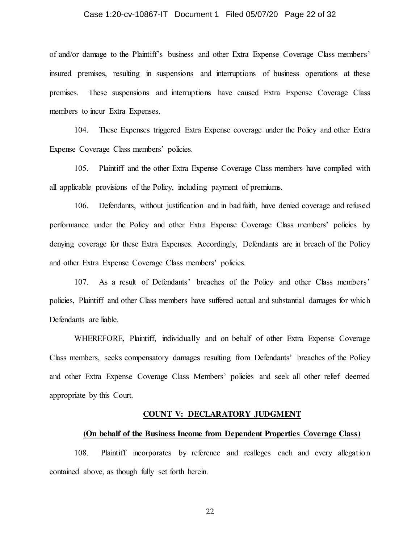#### Case 1:20-cv-10867-IT Document 1 Filed 05/07/20 Page 22 of 32

of and/or damage to the Plaintiff's business and other Extra Expense Coverage Class members' insured premises, resulting in suspensions and interruptions of business operations at these premises. These suspensions and interruptions have caused Extra Expense Coverage Class members to incur Extra Expenses.

104. These Expenses triggered Extra Expense coverage under the Policy and other Extra Expense Coverage Class members' policies.

105. Plaintiff and the other Extra Expense Coverage Class members have complied with all applicable provisions of the Policy, including payment of premiums.

106. Defendants, without justification and in bad faith, have denied coverage and refused performance under the Policy and other Extra Expense Coverage Class members' policies by denying coverage for these Extra Expenses. Accordingly, Defendants are in breach of the Policy and other Extra Expense Coverage Class members' policies.

107. As a result of Defendants' breaches of the Policy and other Class members' policies, Plaintiff and other Class members have suffered actual and substantial damages for which Defendants are liable.

WHEREFORE, Plaintiff, individually and on behalf of other Extra Expense Coverage Class members, seeks compensatory damages resulting from Defendants' breaches of the Policy and other Extra Expense Coverage Class Members' policies and seek all other relief deemed appropriate by this Court.

#### **COUNT V: DECLARATORY JUDGMENT**

#### **(On behalf of the Business Income from Dependent Properties Coverage Class)**

108. Plaintiff incorporates by reference and realleges each and every allegation contained above, as though fully set forth herein.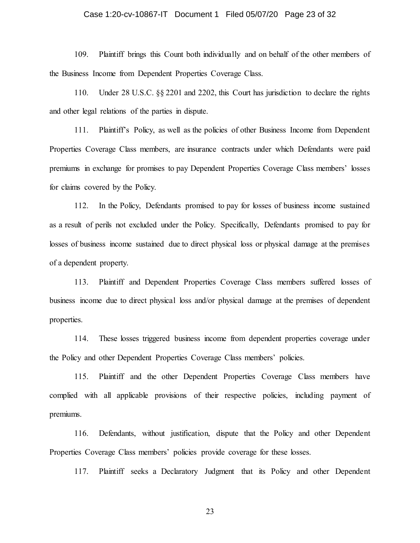#### Case 1:20-cv-10867-IT Document 1 Filed 05/07/20 Page 23 of 32

109. Plaintiff brings this Count both individually and on behalf of the other members of the Business Income from Dependent Properties Coverage Class.

110. Under 28 U.S.C. §§ 2201 and 2202, this Court has jurisdiction to declare the rights and other legal relations of the parties in dispute.

111. Plaintiff's Policy, as well as the policies of other Business Income from Dependent Properties Coverage Class members, are insurance contracts under which Defendants were paid premiums in exchange for promises to pay Dependent Properties Coverage Class members' losses for claims covered by the Policy.

112. In the Policy, Defendants promised to pay for losses of business income sustained as a result of perils not excluded under the Policy. Specifically, Defendants promised to pay for losses of business income sustained due to direct physical loss or physical damage at the premises of a dependent property.

113. Plaintiff and Dependent Properties Coverage Class members suffered losses of business income due to direct physical loss and/or physical damage at the premises of dependent properties.

114. These losses triggered business income from dependent properties coverage under the Policy and other Dependent Properties Coverage Class members' policies.

115. Plaintiff and the other Dependent Properties Coverage Class members have complied with all applicable provisions of their respective policies, including payment of premiums.

116. Defendants, without justification, dispute that the Policy and other Dependent Properties Coverage Class members' policies provide coverage for these losses.

117. Plaintiff seeks a Declaratory Judgment that its Policy and other Dependent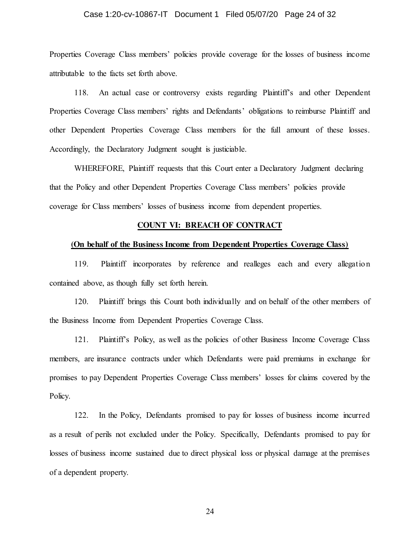#### Case 1:20-cv-10867-IT Document 1 Filed 05/07/20 Page 24 of 32

Properties Coverage Class members' policies provide coverage for the losses of business income attributable to the facts set forth above.

118. An actual case or controversy exists regarding Plaintiff's and other Dependent Properties Coverage Class members' rights and Defendants' obligations to reimburse Plaintiff and other Dependent Properties Coverage Class members for the full amount of these losses. Accordingly, the Declaratory Judgment sought is justiciable.

WHEREFORE, Plaintiff requests that this Court enter a Declaratory Judgment declaring that the Policy and other Dependent Properties Coverage Class members' policies provide coverage for Class members' losses of business income from dependent properties.

#### **COUNT VI: BREACH OF CONTRACT**

#### **(On behalf of the Business Income from Dependent Properties Coverage Class)**

119. Plaintiff incorporates by reference and realleges each and every allegation contained above, as though fully set forth herein.

120. Plaintiff brings this Count both individually and on behalf of the other members of the Business Income from Dependent Properties Coverage Class.

121. Plaintiff's Policy, as well as the policies of other Business Income Coverage Class members, are insurance contracts under which Defendants were paid premiums in exchange for promises to pay Dependent Properties Coverage Class members' losses for claims covered by the Policy.

122. In the Policy, Defendants promised to pay for losses of business income incurred as a result of perils not excluded under the Policy. Specifically, Defendants promised to pay for losses of business income sustained due to direct physical loss or physical damage at the premises of a dependent property.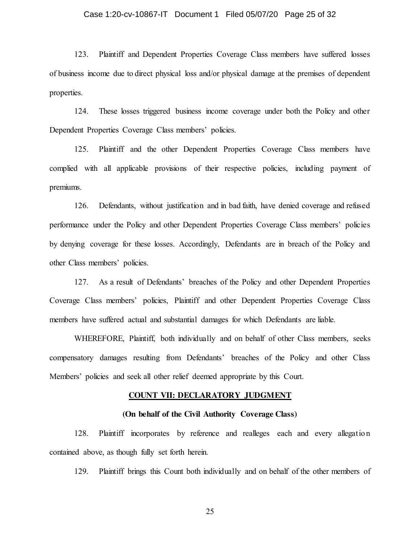#### Case 1:20-cv-10867-IT Document 1 Filed 05/07/20 Page 25 of 32

123. Plaintiff and Dependent Properties Coverage Class members have suffered losses of business income due to direct physical loss and/or physical damage at the premises of dependent properties.

124. These losses triggered business income coverage under both the Policy and other Dependent Properties Coverage Class members' policies.

125. Plaintiff and the other Dependent Properties Coverage Class members have complied with all applicable provisions of their respective policies, including payment of premiums.

126. Defendants, without justification and in bad faith, have denied coverage and refused performance under the Policy and other Dependent Properties Coverage Class members' policies by denying coverage for these losses. Accordingly, Defendants are in breach of the Policy and other Class members' policies.

127. As a result of Defendants' breaches of the Policy and other Dependent Properties Coverage Class members' policies, Plaintiff and other Dependent Properties Coverage Class members have suffered actual and substantial damages for which Defendants are liable.

WHEREFORE, Plaintiff, both individually and on behalf of other Class members, seeks compensatory damages resulting from Defendants' breaches of the Policy and other Class Members' policies and seek all other relief deemed appropriate by this Court.

#### **COUNT VII: DECLARATORY JUDGMENT**

#### **(On behalf of the Civil Authority Coverage Class)**

128. Plaintiff incorporates by reference and realleges each and every allegation contained above, as though fully set forth herein.

129. Plaintiff brings this Count both individually and on behalf of the other members of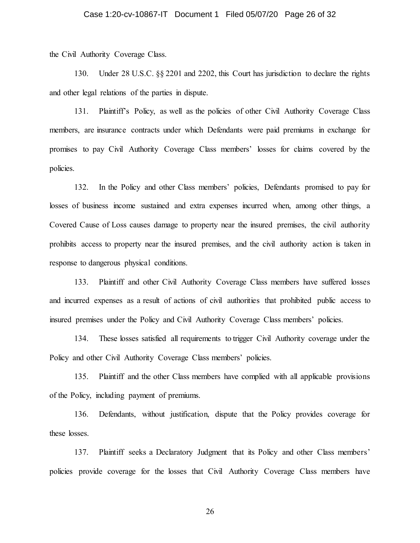the Civil Authority Coverage Class.

130. Under 28 U.S.C. §§ 2201 and 2202, this Court has jurisdiction to declare the rights and other legal relations of the parties in dispute.

131. Plaintiff's Policy, as well as the policies of other Civil Authority Coverage Class members, are insurance contracts under which Defendants were paid premiums in exchange for promises to pay Civil Authority Coverage Class members' losses for claims covered by the policies.

132. In the Policy and other Class members' policies, Defendants promised to pay for losses of business income sustained and extra expenses incurred when, among other things, a Covered Cause of Loss causes damage to property near the insured premises, the civil authority prohibits access to property near the insured premises, and the civil authority action is taken in response to dangerous physical conditions.

133. Plaintiff and other Civil Authority Coverage Class members have suffered losses and incurred expenses as a result of actions of civil authorities that prohibited public access to insured premises under the Policy and Civil Authority Coverage Class members' policies.

134. These losses satisfied all requirements to trigger Civil Authority coverage under the Policy and other Civil Authority Coverage Class members' policies.

135. Plaintiff and the other Class members have complied with all applicable provisions of the Policy, including payment of premiums.

136. Defendants, without justification, dispute that the Policy provides coverage for these losses.

137. Plaintiff seeks a Declaratory Judgment that its Policy and other Class members' policies provide coverage for the losses that Civil Authority Coverage Class members have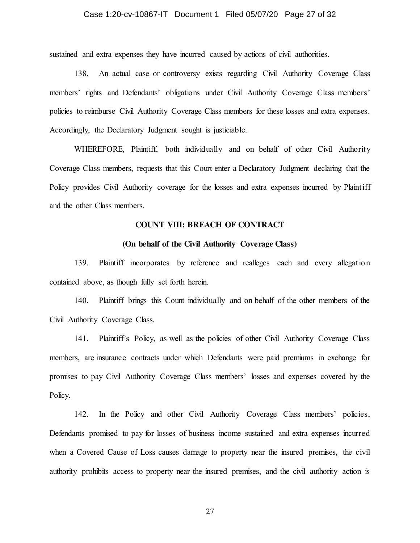sustained and extra expenses they have incurred caused by actions of civil authorities.

138. An actual case or controversy exists regarding Civil Authority Coverage Class members' rights and Defendants' obligations under Civil Authority Coverage Class members' policies to reimburse Civil Authority Coverage Class members for these losses and extra expenses. Accordingly, the Declaratory Judgment sought is justiciable.

WHEREFORE, Plaintiff, both individually and on behalf of other Civil Authority Coverage Class members, requests that this Court enter a Declaratory Judgment declaring that the Policy provides Civil Authority coverage for the losses and extra expenses incurred by Plaintiff and the other Class members.

#### **COUNT VIII: BREACH OF CONTRACT**

#### **(On behalf of the Civil Authority Coverage Class)**

139. Plaintiff incorporates by reference and realleges each and every allegation contained above, as though fully set forth herein.

140. Plaintiff brings this Count individually and on behalf of the other members of the Civil Authority Coverage Class.

141. Plaintiff's Policy, as well as the policies of other Civil Authority Coverage Class members, are insurance contracts under which Defendants were paid premiums in exchange for promises to pay Civil Authority Coverage Class members' losses and expenses covered by the Policy.

142. In the Policy and other Civil Authority Coverage Class members' policies, Defendants promised to pay for losses of business income sustained and extra expenses incurred when a Covered Cause of Loss causes damage to property near the insured premises, the civil authority prohibits access to property near the insured premises, and the civil authority action is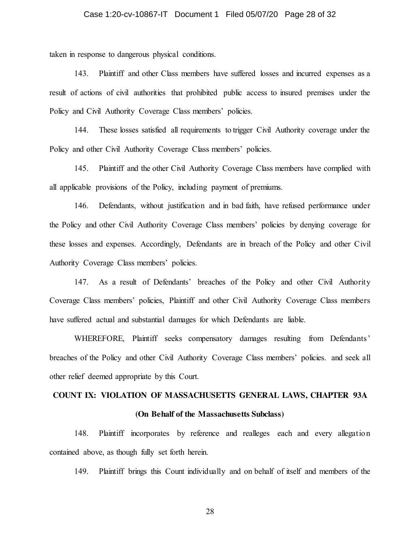taken in response to dangerous physical conditions.

143. Plaintiff and other Class members have suffered losses and incurred expenses as a result of actions of civil authorities that prohibited public access to insured premises under the Policy and Civil Authority Coverage Class members' policies.

144. These losses satisfied all requirements to trigger Civil Authority coverage under the Policy and other Civil Authority Coverage Class members' policies.

145. Plaintiff and the other Civil Authority Coverage Class members have complied with all applicable provisions of the Policy, including payment of premiums.

146. Defendants, without justification and in bad faith, have refused performance under the Policy and other Civil Authority Coverage Class members' policies by denying coverage for these losses and expenses. Accordingly, Defendants are in breach of the Policy and other Civil Authority Coverage Class members' policies.

147. As a result of Defendants' breaches of the Policy and other Civil Authority Coverage Class members' policies, Plaintiff and other Civil Authority Coverage Class members have suffered actual and substantial damages for which Defendants are liable.

WHEREFORE, Plaintiff seeks compensatory damages resulting from Defendants' breaches of the Policy and other Civil Authority Coverage Class members' policies. and seek all other relief deemed appropriate by this Court.

## **COUNT IX: VIOLATION OF MASSACHUSETTS GENERAL LAWS, CHAPTER 93A**

#### **(On Behalf of the Massachusetts Subclass)**

148. Plaintiff incorporates by reference and realleges each and every allegation contained above, as though fully set forth herein.

149. Plaintiff brings this Count individually and on behalf of itself and members of the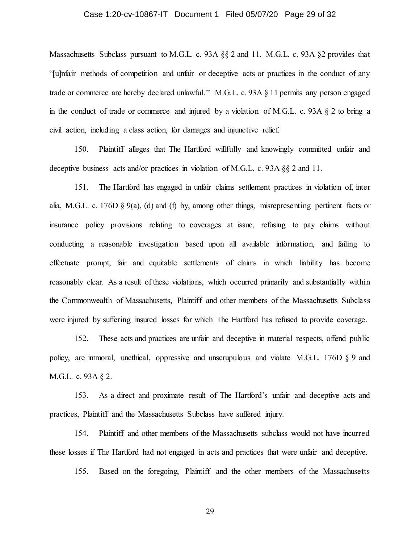# Case 1:20-cv-10867-IT Document 1 Filed 05/07/20 Page 29 of 32

Massachusetts Subclass pursuant to M.G.L. c. 93A §§ 2 and 11. M.G.L. c. 93A §2 provides that "[u]nfair methods of competition and unfair or deceptive acts or practices in the conduct of any trade or commerce are hereby declared unlawful." M.G.L. c. 93A § 11 permits any person engaged in the conduct of trade or commerce and injured by a violation of M.G.L. c. 93A § 2 to bring a civil action, including a class action, for damages and injunctive relief.

150. Plaintiff alleges that The Hartford willfully and knowingly committed unfair and deceptive business acts and/or practices in violation of M.G.L. c. 93A §§ 2 and 11.

151. The Hartford has engaged in unfair claims settlement practices in violation of, inter alia, M.G.L. c. 176D § 9(a), (d) and (f) by, among other things, misrepresenting pertinent facts or insurance policy provisions relating to coverages at issue, refusing to pay claims without conducting a reasonable investigation based upon all available information, and failing to effectuate prompt, fair and equitable settlements of claims in which liability has become reasonably clear. As a result of these violations, which occurred primarily and substantially within the Commonwealth of Massachusetts, Plaintiff and other members of the Massachusetts Subclass were injured by suffering insured losses for which The Hartford has refused to provide coverage.

152. These acts and practices are unfair and deceptive in material respects, offend public policy, are immoral, unethical, oppressive and unscrupulous and violate M.G.L. 176D § 9 and M.G.L. c. 93A § 2.

153. As a direct and proximate result of The Hartford's unfair and deceptive acts and practices, Plaintiff and the Massachusetts Subclass have suffered injury.

154. Plaintiff and other members of the Massachusetts subclass would not have incurred these losses if The Hartford had not engaged in acts and practices that were unfair and deceptive.

155. Based on the foregoing, Plaintiff and the other members of the Massachusetts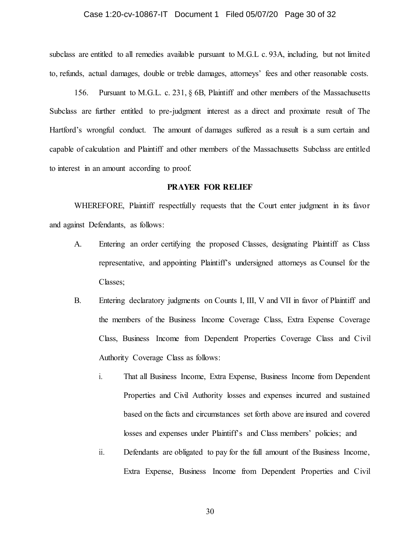#### Case 1:20-cv-10867-IT Document 1 Filed 05/07/20 Page 30 of 32

subclass are entitled to all remedies available pursuant to M.G.L c. 93A, including, but not limited to, refunds, actual damages, double or treble damages, attorneys' fees and other reasonable costs.

156. Pursuant to M.G.L. c. 231, § 6B, Plaintiff and other members of the Massachusetts Subclass are further entitled to pre-judgment interest as a direct and proximate result of The Hartford's wrongful conduct. The amount of damages suffered as a result is a sum certain and capable of calculation and Plaintiff and other members of the Massachusetts Subclass are entitled to interest in an amount according to proof.

#### **PRAYER FOR RELIEF**

WHEREFORE, Plaintiff respectfully requests that the Court enter judgment in its favor and against Defendants, as follows:

- A. Entering an order certifying the proposed Classes, designating Plaintiff as Class representative, and appointing Plaintiff's undersigned attorneys as Counsel for the Classes;
- B. Entering declaratory judgments on Counts I, III, V and VII in favor of Plaintiff and the members of the Business Income Coverage Class, Extra Expense Coverage Class, Business Income from Dependent Properties Coverage Class and Civil Authority Coverage Class as follows:
	- i. That all Business Income, Extra Expense, Business Income from Dependent Properties and Civil Authority losses and expenses incurred and sustained based on the facts and circumstances set forth above are insured and covered losses and expenses under Plaintiff's and Class members' policies; and
	- ii. Defendants are obligated to pay for the full amount of the Business Income, Extra Expense, Business Income from Dependent Properties and Civil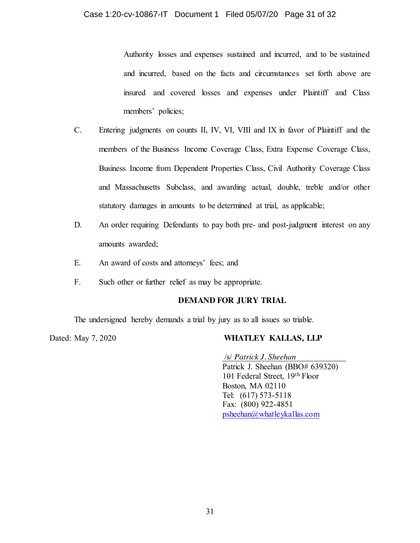Authority losses and expenses sustained and incurred, and to be sustained and incurred, based on the facts and circumstances set forth above are insured and covered losses and expenses under Plaintiff and Class members' policies;

- C. Entering judgments on counts II, IV, VI, VIII and IX in favor of Plaintiff and the members of the Business Income Coverage Class, Extra Expense Coverage Class, Business Income from Dependent Properties Class, Civil Authority Coverage Class and Massachusetts Subclass, and awarding actual, double, treble and/or other statutory damages in amounts to be determined at trial, as applicable;
- D. An order requiring Defendants to pay both pre- and post-judgment interest on any amounts awarded;
- E. An award of costs and attorneys' fees; and
- F. Such other or further relief as may be appropriate.

# **DEMAND FOR JURY TRIAL**

The undersigned hereby demands a trial by jury as to all issues so triable.

# Dated: May 7, 2020 **WHATLEY KALLAS, LLP**

/s/ *Patrick J. Sheehan* Patrick J. Sheehan (BBO# 639320) 101 Federal Street, 19th Floor Boston, MA 02110 Tel: (617) 573-5118 Fax: (800) 922-4851 [psheehan@whatleykallas.com](mailto:psheehan@whatleykallas.com)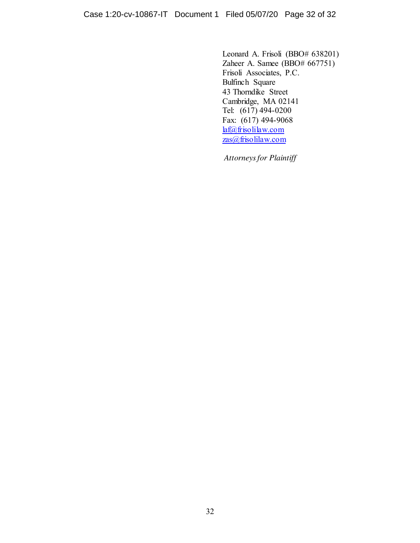Leonard A. Frisoli (BBO# 638201) Zaheer A. Samee (BBO# 667751) Frisoli Associates, P.C. Bulfinch Square 43 Thorndike Street Cambridge, MA 02141 Tel: (617) 494-0200 Fax: (617) 494-9068 [laf@frisolilaw.com](mailto:laf@frisolilaw.com) [zas@frisolilaw.com](mailto:zas@frisolilaw.com)

*Attorneys for Plaintiff*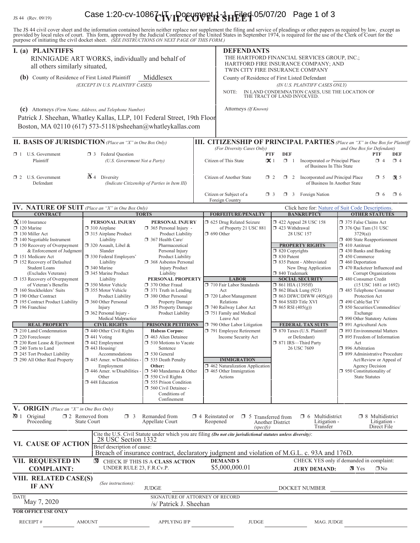# IS 44 (Rev. 09/19) Case 1:20-cv-1086<sup>7</sup> T<sub>VI</sub>POEUT PHR SHEIEG 05/07/20 Page 1 of 3

The JS 44 civil cover sheet and the information contained herein neither replace nor supplement the filing and service of pleadings or other papers as required by law, except as provided by local rules of court. This form,

| I. (a) PLAINTIFFS<br>all others similarly situated,                                                                                                                                                                                                                                                                                                                                                                                                                                                                                                                                                                                                | RINNIGADE ART WORKS, individually and behalf of                                                                                                                                                                                                                                                                                                                                                                                                                                                                                                                                                              |                                                                                                                                                                                                                                                                                                                                                                                                                                                                                                                                                                                                                                                                                                                         | <b>DEFENDANTS</b><br>THE HARTFORD FINANCIAL SERVICES GROUP, INC.;<br>HARTFORD FIRE INSURANCE COMPANY; AND<br>TWIN CITY FIRE INSURANCE COMPANY                                                                                                                                                                                                                                                                                                           |                                                                                                                                                                                                                                                                                                                                                                                                                                                                                                                                 |                                                                                                                                                                                                                                                                                                                                                                                                                                                                                                                                                                                                                                                                                                                                                                   |
|----------------------------------------------------------------------------------------------------------------------------------------------------------------------------------------------------------------------------------------------------------------------------------------------------------------------------------------------------------------------------------------------------------------------------------------------------------------------------------------------------------------------------------------------------------------------------------------------------------------------------------------------------|--------------------------------------------------------------------------------------------------------------------------------------------------------------------------------------------------------------------------------------------------------------------------------------------------------------------------------------------------------------------------------------------------------------------------------------------------------------------------------------------------------------------------------------------------------------------------------------------------------------|-------------------------------------------------------------------------------------------------------------------------------------------------------------------------------------------------------------------------------------------------------------------------------------------------------------------------------------------------------------------------------------------------------------------------------------------------------------------------------------------------------------------------------------------------------------------------------------------------------------------------------------------------------------------------------------------------------------------------|---------------------------------------------------------------------------------------------------------------------------------------------------------------------------------------------------------------------------------------------------------------------------------------------------------------------------------------------------------------------------------------------------------------------------------------------------------|---------------------------------------------------------------------------------------------------------------------------------------------------------------------------------------------------------------------------------------------------------------------------------------------------------------------------------------------------------------------------------------------------------------------------------------------------------------------------------------------------------------------------------|-------------------------------------------------------------------------------------------------------------------------------------------------------------------------------------------------------------------------------------------------------------------------------------------------------------------------------------------------------------------------------------------------------------------------------------------------------------------------------------------------------------------------------------------------------------------------------------------------------------------------------------------------------------------------------------------------------------------------------------------------------------------|
| Middlesex<br>(b) County of Residence of First Listed Plaintiff<br>(EXCEPT IN U.S. PLAINTIFF CASES)                                                                                                                                                                                                                                                                                                                                                                                                                                                                                                                                                 |                                                                                                                                                                                                                                                                                                                                                                                                                                                                                                                                                                                                              |                                                                                                                                                                                                                                                                                                                                                                                                                                                                                                                                                                                                                                                                                                                         | County of Residence of First Listed Defendant<br>(IN U.S. PLAINTIFF CASES ONLY)<br>IN LAND CONDEMNATION CASES, USE THE LOCATION OF THE TRACT OF LAND INVOLVED.<br>NOTE:                                                                                                                                                                                                                                                                                 |                                                                                                                                                                                                                                                                                                                                                                                                                                                                                                                                 |                                                                                                                                                                                                                                                                                                                                                                                                                                                                                                                                                                                                                                                                                                                                                                   |
| (c) Attorneys (Firm Name, Address, and Telephone Number)<br>Patrick J. Sheehan, Whatley Kallas, LLP, 101 Federal Street, 19th Floor<br>Boston, MA 02110 (617) 573-5118/psheehan@whatleykallas.com                                                                                                                                                                                                                                                                                                                                                                                                                                                  |                                                                                                                                                                                                                                                                                                                                                                                                                                                                                                                                                                                                              |                                                                                                                                                                                                                                                                                                                                                                                                                                                                                                                                                                                                                                                                                                                         | Attorneys (If Known)                                                                                                                                                                                                                                                                                                                                                                                                                                    |                                                                                                                                                                                                                                                                                                                                                                                                                                                                                                                                 |                                                                                                                                                                                                                                                                                                                                                                                                                                                                                                                                                                                                                                                                                                                                                                   |
| II. BASIS OF JURISDICTION (Place an "X" in One Box Only)                                                                                                                                                                                                                                                                                                                                                                                                                                                                                                                                                                                           |                                                                                                                                                                                                                                                                                                                                                                                                                                                                                                                                                                                                              |                                                                                                                                                                                                                                                                                                                                                                                                                                                                                                                                                                                                                                                                                                                         | <b>III. CITIZENSHIP OF PRINCIPAL PARTIES</b> (Place an "X" in One Box for Plaintiff                                                                                                                                                                                                                                                                                                                                                                     |                                                                                                                                                                                                                                                                                                                                                                                                                                                                                                                                 |                                                                                                                                                                                                                                                                                                                                                                                                                                                                                                                                                                                                                                                                                                                                                                   |
| $\Box$ 1 U.S. Government<br>Plaintiff                                                                                                                                                                                                                                                                                                                                                                                                                                                                                                                                                                                                              | <b>3</b> Federal Question<br>(U.S. Government Not a Party)                                                                                                                                                                                                                                                                                                                                                                                                                                                                                                                                                   |                                                                                                                                                                                                                                                                                                                                                                                                                                                                                                                                                                                                                                                                                                                         | (For Diversity Cases Only)<br>Citizen of This State                                                                                                                                                                                                                                                                                                                                                                                                     | <b>DEF</b><br>PTF<br>$\mathbf{X}$ 1<br>$\Box$ 1<br>Incorporated or Principal Place<br>of Business In This State                                                                                                                                                                                                                                                                                                                                                                                                                 | and One Box for Defendant)<br><b>PTF</b><br>DEF<br>$\Box$ 4<br>$\Box$ 4                                                                                                                                                                                                                                                                                                                                                                                                                                                                                                                                                                                                                                                                                           |
| 1 2 U.S. Government<br>Defendant                                                                                                                                                                                                                                                                                                                                                                                                                                                                                                                                                                                                                   | $\mathbb{A}$ 4<br>Diversity                                                                                                                                                                                                                                                                                                                                                                                                                                                                                                                                                                                  | (Indicate Citizenship of Parties in Item III)                                                                                                                                                                                                                                                                                                                                                                                                                                                                                                                                                                                                                                                                           | Citizen of Another State                                                                                                                                                                                                                                                                                                                                                                                                                                | $\Box$ 2 Incorporated <i>and</i> Principal Place<br>$\Box$ 2<br>of Business In Another State                                                                                                                                                                                                                                                                                                                                                                                                                                    | $\mathbf{X}$ 5<br>$\Box$ 5                                                                                                                                                                                                                                                                                                                                                                                                                                                                                                                                                                                                                                                                                                                                        |
|                                                                                                                                                                                                                                                                                                                                                                                                                                                                                                                                                                                                                                                    |                                                                                                                                                                                                                                                                                                                                                                                                                                                                                                                                                                                                              |                                                                                                                                                                                                                                                                                                                                                                                                                                                                                                                                                                                                                                                                                                                         | Citizen or Subject of a<br>Foreign Country                                                                                                                                                                                                                                                                                                                                                                                                              | $\Box$ 3 Foreign Nation<br>$\Box$ 3                                                                                                                                                                                                                                                                                                                                                                                                                                                                                             | $\Box$ 6<br>$\Box$ 6                                                                                                                                                                                                                                                                                                                                                                                                                                                                                                                                                                                                                                                                                                                                              |
| IV. NATURE OF SUIT (Place an "X" in One Box Only)                                                                                                                                                                                                                                                                                                                                                                                                                                                                                                                                                                                                  |                                                                                                                                                                                                                                                                                                                                                                                                                                                                                                                                                                                                              |                                                                                                                                                                                                                                                                                                                                                                                                                                                                                                                                                                                                                                                                                                                         |                                                                                                                                                                                                                                                                                                                                                                                                                                                         |                                                                                                                                                                                                                                                                                                                                                                                                                                                                                                                                 | Click here for: Nature of Suit Code Descriptions.                                                                                                                                                                                                                                                                                                                                                                                                                                                                                                                                                                                                                                                                                                                 |
| <b>CONTRACT</b><br>$\mathbf{X}$ 110 Insurance<br>120 Marine<br>130 Miller Act<br>$\Box$ 140 Negotiable Instrument<br>$\Box$ 150 Recovery of Overpayment<br>& Enforcement of Judgment<br>151 Medicare Act<br>152 Recovery of Defaulted<br>Student Loans<br>(Excludes Veterans)<br>153 Recovery of Overpayment<br>of Veteran's Benefits<br>$\Box$ 160 Stockholders' Suits<br>190 Other Contract<br>195 Contract Product Liability<br>$\Box$ 196 Franchise<br><b>REAL PROPERTY</b><br>$\Box$ 210 Land Condemnation<br>220 Foreclosure<br>230 Rent Lease & Ejectment<br>240 Torts to Land<br>245 Tort Product Liability<br>290 All Other Real Property | PERSONAL INJURY<br>$\Box$ 310 Airplane<br>315 Airplane Product<br>Liability<br>□ 320 Assault, Libel &<br>Slander<br>□ 330 Federal Employers'<br>Liability<br>340 Marine<br>345 Marine Product<br>Liability<br>□ 350 Motor Vehicle<br>□ 355 Motor Vehicle<br>Product Liability<br>360 Other Personal<br>Injury<br>362 Personal Injury -<br>Medical Malpractice<br><b>CIVIL RIGHTS</b><br>440 Other Civil Rights<br>$\Box$ 441 Voting<br>442 Employment<br>$\Box$ 443 Housing/<br>Accommodations<br>$\Box$ 445 Amer. w/Disabilities<br>Employment<br>$\Box$ 446 Amer. w/Disabilities<br>Other<br>448 Education | <b>TORTS</b><br>PERSONAL INJURY<br>$\Box$ 365 Personal Injury -<br>Product Liability<br>367 Health Care/<br>Pharmaceutical<br>Personal Injury<br>Product Liability<br>□ 368 Asbestos Personal<br><b>Injury Product</b><br>Liability<br>PERSONAL PROPERTY<br>□ 370 Other Fraud<br>$\Box$ 371 Truth in Lending<br>380 Other Personal<br>Property Damage<br>385 Property Damage<br>Product Liability<br><b>PRISONER PETITIONS</b><br><b>Habeas Corpus:</b><br>□ 463 Alien Detainee<br><b>J</b> 510 Motions to Vacate<br>Sentence<br>□ 530 General<br>535 Death Penalty<br>Other:<br>$\Box$ 540 Mandamus & Other<br>$\Box$ 550 Civil Rights<br>555 Prison Condition<br>560 Civil Detainee -<br>Conditions of<br>Confinement | <b>FORFEITURE/PENALTY</b><br>5 625 Drug Related Seizure<br>of Property 21 USC 881<br>$\Box$ 690 Other<br><b>LABOR</b><br>710 Fair Labor Standards<br>Act<br>720 Labor/Management<br>Relations<br>740 Railway Labor Act<br>751 Family and Medical<br>Leave Act<br>790 Other Labor Litigation<br>791 Employee Retirement<br>Income Security Act<br><b>IMMIGRATION</b><br>$\Box$ 462 Naturalization Application<br>$\Box$ 465 Other Immigration<br>Actions | <b>BANKRUPTCY</b><br>158 122 Appeal 28 USC 158<br>$\Box$ 423 Withdrawal<br>28 USC 157<br><b>PROPERTY RIGHTS</b><br>$\Box$ 820 Copyrights<br>□ 830 Patent<br>□ 835 Patent - Abbreviated<br>New Drug Application<br>□ 840 Trademark<br><b>SOCIAL SECURITY</b><br>$\Box$ 861 HIA (1395ff)<br><b>1</b> 862 Black Lung (923)<br>$\Box$ 863 DIWC/DIWW (405(g))<br>□ 864 SSID Title XVI<br>$\Box$ 865 RSI (405(g))<br><b>FEDERAL TAX SUITS</b><br>□ 870 Taxes (U.S. Plaintiff<br>or Defendant)<br>□ 871 IRS-Third Party<br>26 USC 7609 | <b>OTHER STATUTES</b><br>375 False Claims Act<br>$\Box$ 376 Qui Tam (31 USC<br>3729(a)<br>1 400 State Reapportionment<br>$\Box$ 410 Antitrust<br>$\Box$ 430 Banks and Banking<br>$\Box$ 450 Commerce<br>$\Box$ 460 Deportation<br>□ 470 Racketeer Influenced and<br>Corrupt Organizations<br>480 Consumer Credit<br>(15 USC 1681 or 1692)<br>□ 485 Telephone Consumer<br>Protection Act<br>□ 490 Cable/Sat TV<br>□ 850 Securities/Commodities/<br>Exchange<br>90 Other Statutory Actions<br>□ 891 Agricultural Acts<br>□ 893 Environmental Matters<br>□ 895 Freedom of Information<br>Act<br>□ 896 Arbitration<br>7 899 Administrative Procedure<br>Act/Review or Appeal of<br><b>Agency Decision</b><br>$\Box$ 950 Constitutionality of<br><b>State Statutes</b> |
| V. ORIGIN (Place an "X" in One Box Only)<br>$\Delta$ 1 Original<br>Proceeding                                                                                                                                                                                                                                                                                                                                                                                                                                                                                                                                                                      | $\square$ 2 Removed from<br>$\Box$ 3<br>State Court                                                                                                                                                                                                                                                                                                                                                                                                                                                                                                                                                          | Remanded from<br>Appellate Court                                                                                                                                                                                                                                                                                                                                                                                                                                                                                                                                                                                                                                                                                        | $\Box$ 4 Reinstated or $\Box$ 5 Transferred from<br>Reopened<br>(specify)                                                                                                                                                                                                                                                                                                                                                                               | Multidistrict<br>$\Box$ 6<br>Litigation -<br>Another District<br>Transfer                                                                                                                                                                                                                                                                                                                                                                                                                                                       | $\Box$ 8 Multidistrict<br>Litigation -<br>Direct File                                                                                                                                                                                                                                                                                                                                                                                                                                                                                                                                                                                                                                                                                                             |
| VI. CAUSE OF ACTION                                                                                                                                                                                                                                                                                                                                                                                                                                                                                                                                                                                                                                | 28 USC Section 1332<br>Brief description of cause:                                                                                                                                                                                                                                                                                                                                                                                                                                                                                                                                                           |                                                                                                                                                                                                                                                                                                                                                                                                                                                                                                                                                                                                                                                                                                                         | Cite the U.S. Civil Statute under which you are filing (Do not cite jurisdictional statutes unless diversity):                                                                                                                                                                                                                                                                                                                                          |                                                                                                                                                                                                                                                                                                                                                                                                                                                                                                                                 |                                                                                                                                                                                                                                                                                                                                                                                                                                                                                                                                                                                                                                                                                                                                                                   |
| <b>VII. REQUESTED IN</b><br><b>COMPLAINT:</b>                                                                                                                                                                                                                                                                                                                                                                                                                                                                                                                                                                                                      | ⊠<br>UNDER RULE 23, F.R.Cv.P.                                                                                                                                                                                                                                                                                                                                                                                                                                                                                                                                                                                | CHECK IF THIS IS A CLASS ACTION                                                                                                                                                                                                                                                                                                                                                                                                                                                                                                                                                                                                                                                                                         | Breach of insurance contract, declaratory judgment and violation of M.G.L. c. 93A and 176D.<br><b>DEMANDS</b><br>\$5,000,000.01                                                                                                                                                                                                                                                                                                                         | <b>JURY DEMAND:</b>                                                                                                                                                                                                                                                                                                                                                                                                                                                                                                             | CHECK YES only if demanded in complaint:<br><b>X</b> Yes<br>$\Box$ No                                                                                                                                                                                                                                                                                                                                                                                                                                                                                                                                                                                                                                                                                             |
| VIII. RELATED CASE(S)<br><b>IF ANY</b>                                                                                                                                                                                                                                                                                                                                                                                                                                                                                                                                                                                                             | (See instructions):                                                                                                                                                                                                                                                                                                                                                                                                                                                                                                                                                                                          | <b>JUDGE</b>                                                                                                                                                                                                                                                                                                                                                                                                                                                                                                                                                                                                                                                                                                            |                                                                                                                                                                                                                                                                                                                                                                                                                                                         | DOCKET NUMBER                                                                                                                                                                                                                                                                                                                                                                                                                                                                                                                   |                                                                                                                                                                                                                                                                                                                                                                                                                                                                                                                                                                                                                                                                                                                                                                   |
| <b>DATE</b><br>May 7, 2020                                                                                                                                                                                                                                                                                                                                                                                                                                                                                                                                                                                                                         | SIGNATURE OF ATTORNEY OF RECORD<br>/s/ Patrick J. Sheehan                                                                                                                                                                                                                                                                                                                                                                                                                                                                                                                                                    |                                                                                                                                                                                                                                                                                                                                                                                                                                                                                                                                                                                                                                                                                                                         |                                                                                                                                                                                                                                                                                                                                                                                                                                                         |                                                                                                                                                                                                                                                                                                                                                                                                                                                                                                                                 |                                                                                                                                                                                                                                                                                                                                                                                                                                                                                                                                                                                                                                                                                                                                                                   |
| <b>FOR OFFICE USE ONLY</b><br><b>RECEIPT#</b>                                                                                                                                                                                                                                                                                                                                                                                                                                                                                                                                                                                                      | <b>AMOUNT</b>                                                                                                                                                                                                                                                                                                                                                                                                                                                                                                                                                                                                | <b>APPLYING IFP</b>                                                                                                                                                                                                                                                                                                                                                                                                                                                                                                                                                                                                                                                                                                     | <b>JUDGE</b>                                                                                                                                                                                                                                                                                                                                                                                                                                            | MAG. JUDGE                                                                                                                                                                                                                                                                                                                                                                                                                                                                                                                      |                                                                                                                                                                                                                                                                                                                                                                                                                                                                                                                                                                                                                                                                                                                                                                   |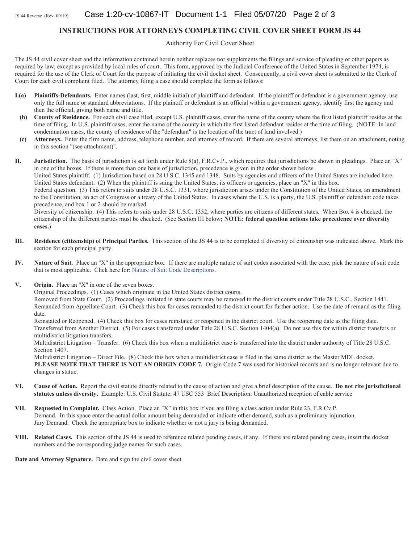#### **INSTRUCTIONS FOR ATTORNEYS COMPLETING CIVIL COVER SHEET FORM JS 44**

Authority For Civil Cover Sheet

The JS 44 civil cover sheet and the information contained herein neither replaces nor supplements the filings and service of pleading or other papers as required by law, except as provided by local rules of court. This form, approved by the Judicial Conference of the United States in September 1974, is required for the use of the Clerk of Court for the purpose of initiating the civil docket sheet. Consequently, a civil cover sheet is submitted to the Clerk of Court for each civil complaint filed. The attorney filing a case should complete the form as follows:

- **I.(a)** Plaintiffs-Defendants. Enter names (last, first, middle initial) of plaintiff and defendant. If the plaintiff or defendant is a government agency, use only the full name or standard abbreviations. If the plaintiff or defendant is an official within a government agency, identify first the agency and then the official, giving both name and title.
- (b) County of Residence. For each civil case filed, except U.S. plaintiff cases, enter the name of the county where the first listed plaintiff resides at the time of filing. In U.S. plaintiff cases, enter the name of the county in which the first listed defendant resides at the time of filing. (NOTE: In land condemnation cases, the county of residence of the "defendant" is the location of the tract of land involved.)
- (c) Attorneys. Enter the firm name, address, telephone number, and attorney of record. If there are several attorneys, list them on an attachment, noting in this section "(see attachment)".

**II.** Jurisdiction. The basis of jurisdiction is set forth under Rule 8(a), F.R.Cv.P., which requires that jurisdictions be shown in pleadings. Place an "X" in one of the boxes. If there is more than one basis of jurisdiction, precedence is given in the order shown below.

United States plaintiff. (1) Jurisdiction based on 28 U.S.C. 1345 and 1348. Suits by agencies and officers of the United States are included here. United States defendant. (2) When the plaintiff is suing the United States, its officers or agencies, place an "X" in this box.

Federal question. (3) This refers to suits under 28 U.S.C. 1331, where jurisdiction arises under the Constitution of the United States, an amendment to the Constitution, an act of Congress or a treaty of the United States. In cases where the U.S. is a party, the U.S. plaintiff or defendant code takes precedence, and box 1 or 2 should be marked.

Diversity of citizenship. (4) This refers to suits under 28 U.S.C. 1332, where parties are citizens of different states. When Box 4 is checked, the citizenship of the different parties must be checked. (See Section III below; **NOTE: federal question actions take precedence over diversity** cases.)

- **III.** Residence (citizenship) of Principal Parties. This section of the JS 44 is to be completed if diversity of citizenship was indicated above. Mark this section for each principal party.
- **IV.** Nature of Suit. Place an "X" in the appropriate box. If there are multiple nature of suit codes associated with the case, pick the nature of suit code that is most applicable. Click here for: Nature of Suit Code Descriptions.
- **V.** Origin. Place an "X" in one of the seven boxes.

Original Proceedings. (1) Cases which originate in the United States district courts.

Removed from State Court. (2) Proceedings initiated in state courts may be removed to the district courts under Title 28 U.S.C., Section 1441. Remanded from Appellate Court. (3) Check this box for cases remanded to the district court for further action. Use the date of remand as the filing date.

Reinstated or Reopened. (4) Check this box for cases reinstated or reopened in the district court. Use the reopening date as the filing date. Transferred from Another District. (5) For cases transferred under Title 28 U.S.C. Section 1404(a). Do not use this for within district transfers or multidistrict litigation transfers.

Multidistrict Litigation – Transfer. (6) Check this box when a multidistrict case is transferred into the district under authority of Title 28 U.S.C. Section 1407.

Multidistrict Litigation – Direct File. (8) Check this box when a multidistrict case is filed in the same district as the Master MDL docket. PLEASE NOTE THAT THERE IS NOT AN ORIGIN CODE 7. Origin Code 7 was used for historical records and is no longer relevant due to changes in statue.

- VI. Cause of Action. Report the civil statute directly related to the cause of action and give a brief description of the cause. Do not cite jurisdictional statutes unless diversity. Example: U.S. Civil Statute: 47 USC 553 Brief Description: Unauthorized reception of cable service
- **VII.** Requested in Complaint. Class Action. Place an "X" in this box if you are filing a class action under Rule 23, F.R.Cv.P. Demand. In this space enter the actual dollar amount being demanded or indicate other demand, such as a preliminary injunction. Jury Demand. Check the appropriate box to indicate whether or not a jury is being demanded.
- VIII. Related Cases. This section of the JS 44 is used to reference related pending cases, if any. If there are related pending cases, insert the docket numbers and the corresponding judge names for such cases.

Date and Attorney Signature. Date and sign the civil cover sheet.